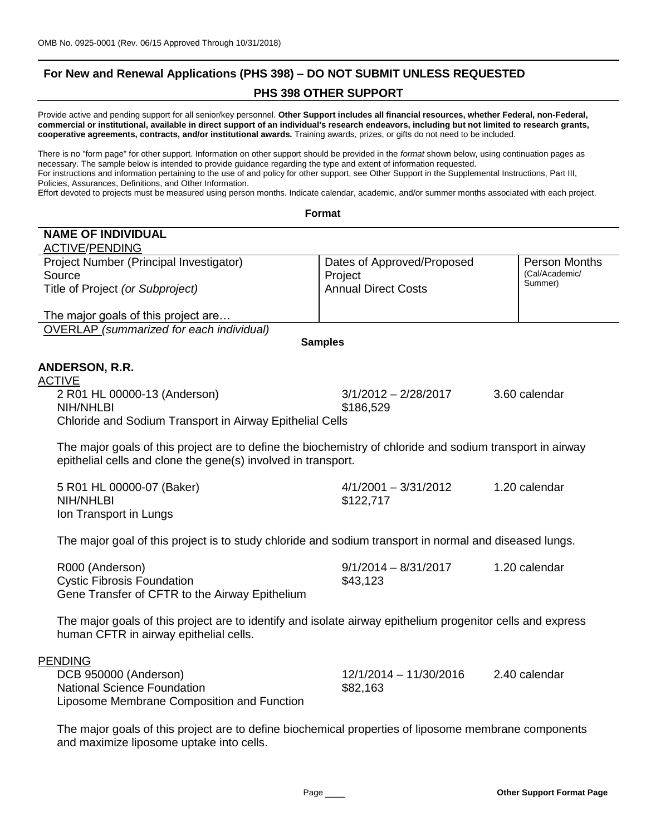# **For New and Renewal Applications (PHS 398) – DO NOT SUBMIT UNLESS REQUESTED PHS 398 OTHER SUPPORT**

Provide active and pending support for all senior/key personnel. **Other Support includes all financial resources, whether Federal, non-Federal, commercial or institutional, available in direct support of an individual's research endeavors, including but not limited to research grants, cooperative agreements, contracts, and/or institutional awards.** Training awards, prizes, or gifts do not need to be included.

There is no "form page" for other support. Information on other support should be provided in the *format* shown below, using continuation pages as necessary. The sample below is intended to provide guidance regarding the type and extent of information requested. For instructions and information pertaining to the use of and policy for other support, see Other Support in the Supplemental Instructions, Part III, Policies, Assurances, Definitions, and Other Information.

Effort devoted to projects must be measured using person months. Indicate calendar, academic, and/or summer months associated with each project.

| Format                                                                                                                                                                     |                                                                     |                                            |  |  |
|----------------------------------------------------------------------------------------------------------------------------------------------------------------------------|---------------------------------------------------------------------|--------------------------------------------|--|--|
| <b>NAME OF INDIVIDUAL</b>                                                                                                                                                  |                                                                     |                                            |  |  |
| <b>ACTIVE/PENDING</b><br>Project Number (Principal Investigator)<br>Source<br>Title of Project (or Subproject)                                                             | Dates of Approved/Proposed<br>Project<br><b>Annual Direct Costs</b> | Person Months<br>(Cal/Academic/<br>Summer) |  |  |
| The major goals of this project are                                                                                                                                        |                                                                     |                                            |  |  |
| OVERLAP (summarized for each individual)                                                                                                                                   |                                                                     |                                            |  |  |
|                                                                                                                                                                            | <b>Samples</b>                                                      |                                            |  |  |
| ANDERSON, R.R.                                                                                                                                                             |                                                                     |                                            |  |  |
| <b>ACTIVE</b><br>2 R01 HL 00000-13 (Anderson)<br><b>NIH/NHLBI</b><br>Chloride and Sodium Transport in Airway Epithelial Cells                                              | $3/1/2012 - 2/28/2017$<br>\$186,529                                 | 3.60 calendar                              |  |  |
| The major goals of this project are to define the biochemistry of chloride and sodium transport in airway<br>epithelial cells and clone the gene(s) involved in transport. |                                                                     |                                            |  |  |
| 5 R01 HL 00000-07 (Baker)<br><b>NIH/NHLBI</b><br>Ion Transport in Lungs                                                                                                    | $4/1/2001 - 3/31/2012$<br>\$122,717                                 | 1.20 calendar                              |  |  |
| The major goal of this project is to study chloride and sodium transport in normal and diseased lungs.                                                                     |                                                                     |                                            |  |  |
| R000 (Anderson)<br><b>Cystic Fibrosis Foundation</b><br>Gene Transfer of CFTR to the Airway Epithelium                                                                     | $9/1/2014 - 8/31/2017$<br>\$43,123                                  | 1.20 calendar                              |  |  |
| The major goals of this project are to identify and isolate airway epithelium progenitor cells and express<br>human CFTR in airway epithelial cells.                       |                                                                     |                                            |  |  |
| <b>PENDING</b><br>DCB 950000 (Anderson)<br><b>National Science Foundation</b><br>Liposome Membrane Composition and Function                                                | 12/1/2014 - 11/30/2016<br>\$82,163                                  | 2.40 calendar                              |  |  |
| The major goals of this project are to define biochemical properties of liposome membrane components                                                                       |                                                                     |                                            |  |  |

and maximize liposome uptake into cells.